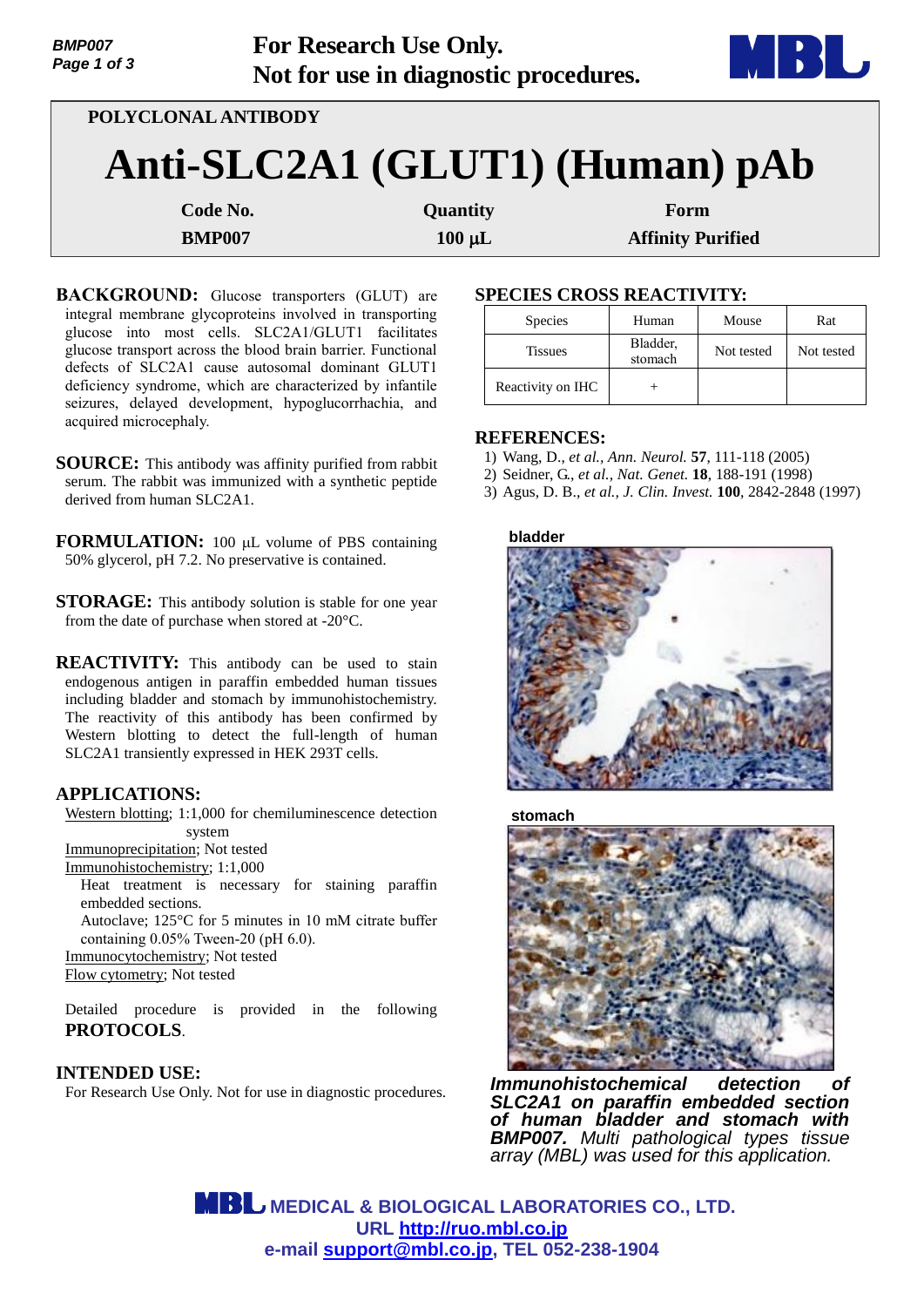| <b>BMP007</b> | <b>For Research Use Only.</b>         | VID)       |
|---------------|---------------------------------------|------------|
| Page 1 of 3   | Not for use in diagnostic procedures. | <b>MDD</b> |
|               | POLYCLONAL ANTIBODY                   |            |

| Anti-SLC2A1 (GLUT1) (Human) pAb |  |  |  |
|---------------------------------|--|--|--|
|---------------------------------|--|--|--|

**Code No. Quantity Form** 

**BMP007** 100 µ**L Affinity Purified** 

**BACKGROUND:** Glucose transporters (GLUT) are integral membrane glycoproteins involved in transporting glucose into most cells. SLC2A1/GLUT1 facilitates glucose transport across the blood brain barrier. Functional defects of SLC2A1 cause autosomal dominant GLUT1 deficiency syndrome, which are characterized by infantile seizures, delayed development, hypoglucorrhachia, and acquired microcephaly.

**SOURCE:** This antibody was affinity purified from rabbit serum. The rabbit was immunized with a synthetic peptide derived from human SLC2A1.

**FORMULATION:** 100 µL volume of PBS containing 50% glycerol, pH 7.2. No preservative is contained.

**STORAGE:** This antibody solution is stable for one year from the date of purchase when stored at -20°C.

**REACTIVITY:** This antibody can be used to stain endogenous antigen in paraffin embedded human tissues including bladder and stomach by immunohistochemistry. The reactivity of this antibody has been confirmed by Western blotting to detect the full-length of human SLC2A1 transiently expressed in HEK 293T cells.

# **APPLICATIONS:**

Western blotting; 1:1,000 for chemiluminescence detection system

Immunoprecipitation; Not tested

Immunohistochemistry; 1:1,000

Heat treatment is necessary for staining paraffin embedded sections. Autoclave; 125°C for 5 minutes in 10 mM citrate buffer

containing 0.05% Tween-20 (pH 6.0).

Immunocytochemistry; Not tested

Flow cytometry; Not tested

Detailed procedure is provided in the following **PROTOCOLS**.

# **INTENDED USE:**

For Research Use Only. Not for use in diagnostic procedures.

# **SPECIES CROSS REACTIVITY:**

| <b>Species</b>    | Human               | Mouse      | Rat        |
|-------------------|---------------------|------------|------------|
| <b>Tissues</b>    | Bladder,<br>stomach | Not tested | Not tested |
| Reactivity on IHC |                     |            |            |

## **REFERENCES:**

- 1) Wang, D., *et al., Ann. Neurol.* **57**, 111-118 (2005)
- 2) Seidner, G., *et al., Nat. Genet.* **18**, 188-191 (1998)
- 3) Agus, D. B., *et al., J. Clin. Invest.* **100**, 2842-2848 (1997)





**stomach**



*Immunohistochemical detection of SLC2A1 on paraffin embedded section of human bladder and stomach with BMP007. Multi pathological types tissue array (MBL) was used for this application.*

 **MEDICAL & BIOLOGICAL LABORATORIES CO., LTD. URL [http://ruo.mbl.co.jp](http://ruo.mbl.co.jp/) e-mail [support@mbl.co.jp,](support@mbl.co.jp) TEL 052-238-1904**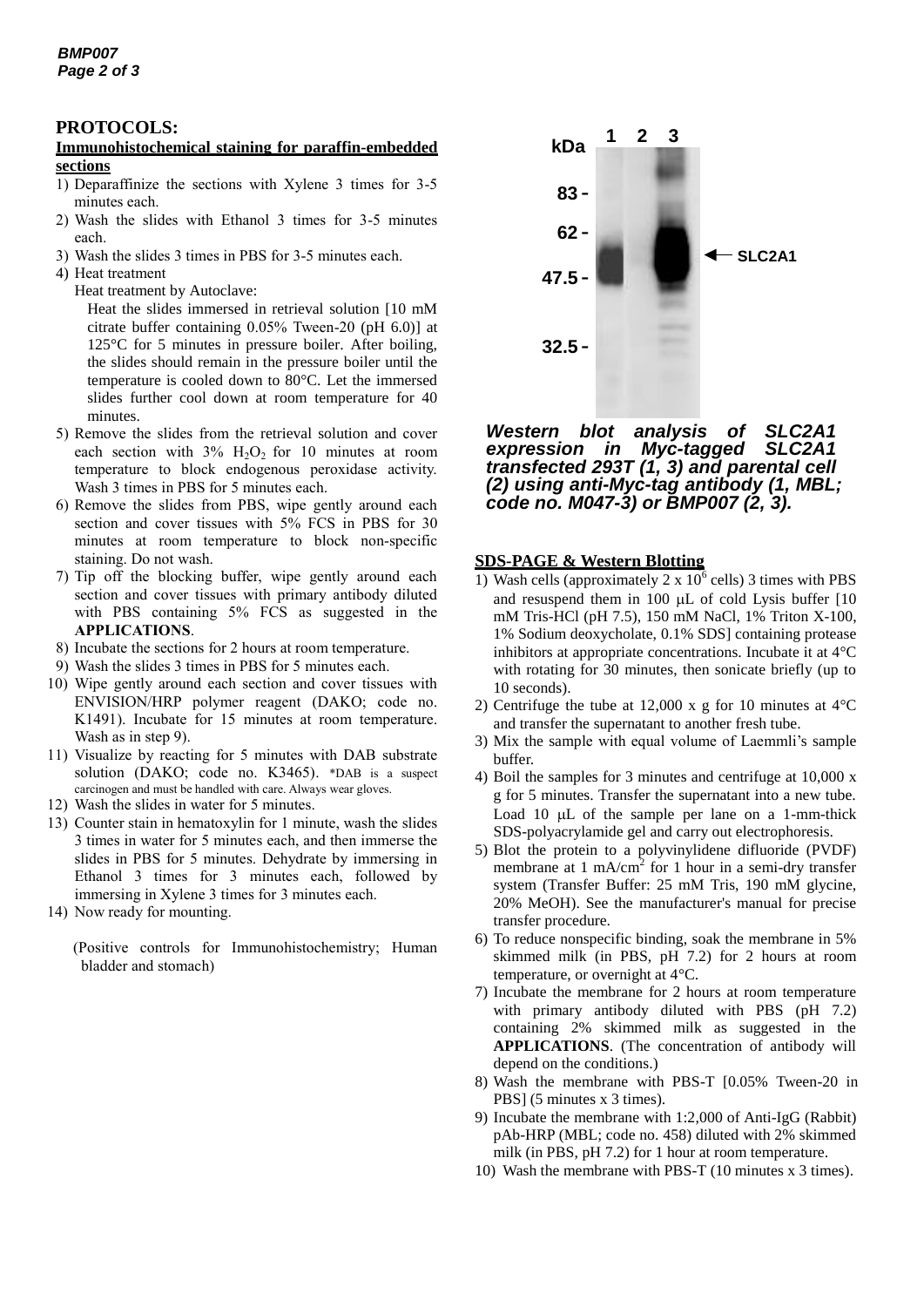### **PROTOCOLS:**

#### **Immunohistochemical staining for paraffin-embedded sections**

- 1) Deparaffinize the sections with Xylene 3 times for 3-5 minutes each.
- 2) Wash the slides with Ethanol 3 times for 3-5 minutes each.
- 3) Wash the slides 3 times in PBS for 3-5 minutes each.
- 4) Heat treatment
	- Heat treatment by Autoclave:

Heat the slides immersed in retrieval solution [10 mM citrate buffer containing 0.05% Tween-20 (pH 6.0)] at 125°C for 5 minutes in pressure boiler. After boiling, the slides should remain in the pressure boiler until the temperature is cooled down to 80°C. Let the immersed slides further cool down at room temperature for 40 minutes.

- 5) Remove the slides from the retrieval solution and cover each section with  $3\%$  H<sub>2</sub>O<sub>2</sub> for 10 minutes at room temperature to block endogenous peroxidase activity. Wash 3 times in PBS for 5 minutes each.
- 6) Remove the slides from PBS, wipe gently around each section and cover tissues with 5% FCS in PBS for 30 minutes at room temperature to block non-specific staining. Do not wash.
- 7) Tip off the blocking buffer, wipe gently around each section and cover tissues with primary antibody diluted with PBS containing 5% FCS as suggested in the **APPLICATIONS**.
- 8) Incubate the sections for 2 hours at room temperature.
- 9) Wash the slides 3 times in PBS for 5 minutes each.
- 10) Wipe gently around each section and cover tissues with ENVISION/HRP polymer reagent (DAKO; code no. K1491). Incubate for 15 minutes at room temperature. Wash as in step 9).
- 11) Visualize by reacting for 5 minutes with DAB substrate solution (DAKO; code no. K3465). \*DAB is a suspect carcinogen and must be handled with care. Always wear gloves.
- 12) Wash the slides in water for 5 minutes.
- 13) Counter stain in hematoxylin for 1 minute, wash the slides 3 times in water for 5 minutes each, and then immerse the slides in PBS for 5 minutes. Dehydrate by immersing in Ethanol 3 times for 3 minutes each, followed by immersing in Xylene 3 times for 3 minutes each.
- 14) Now ready for mounting.

(Positive controls for Immunohistochemistry; Human bladder and stomach)



*Western blot analysis of SLC2A1 expression in Myc-tagged transfected 293T (1, 3) and parental cell (2) using anti-Myc-tag antibody (1, MBL; code no. M047-3) or BMP007 (2, 3).* 

#### **SDS-PAGE & Western Blotting**

- 1) Wash cells (approximately  $2 \times 10^6$  cells) 3 times with PBS and resuspend them in 100  $\mu$ L of cold Lysis buffer [10] mM Tris-HCl (pH 7.5), 150 mM NaCl, 1% Triton X-100, 1% Sodium deoxycholate, 0.1% SDS] containing protease inhibitors at appropriate concentrations. Incubate it at 4°C with rotating for 30 minutes, then sonicate briefly (up to 10 seconds).
- 2) Centrifuge the tube at 12,000 x g for 10 minutes at 4°C and transfer the supernatant to another fresh tube.
- 3) Mix the sample with equal volume of Laemmli's sample buffer.
- 4) Boil the samples for 3 minutes and centrifuge at 10,000 x g for 5 minutes. Transfer the supernatant into a new tube. Load 10  $\mu$ L of the sample per lane on a 1-mm-thick SDS-polyacrylamide gel and carry out electrophoresis.
- 5) Blot the protein to a polyvinylidene difluoride (PVDF) membrane at 1 mA/cm<sup>2</sup> for 1 hour in a semi-dry transfer system (Transfer Buffer: 25 mM Tris, 190 mM glycine, 20% MeOH). See the manufacturer's manual for precise transfer procedure.
- 6) To reduce nonspecific binding, soak the membrane in 5% skimmed milk (in PBS, pH 7.2) for 2 hours at room temperature, or overnight at 4°C.
- 7) Incubate the membrane for 2 hours at room temperature with primary antibody diluted with PBS (pH 7.2) containing 2% skimmed milk as suggested in the **APPLICATIONS**. (The concentration of antibody will depend on the conditions.)
- 8) Wash the membrane with PBS-T [0.05% Tween-20 in PBS] (5 minutes x 3 times).
- 9) Incubate the membrane with 1:2,000 of Anti-IgG (Rabbit) pAb-HRP (MBL; code no. 458) diluted with 2% skimmed milk (in PBS, pH 7.2) for 1 hour at room temperature.
- 10) Wash the membrane with PBS-T (10 minutes x 3 times).